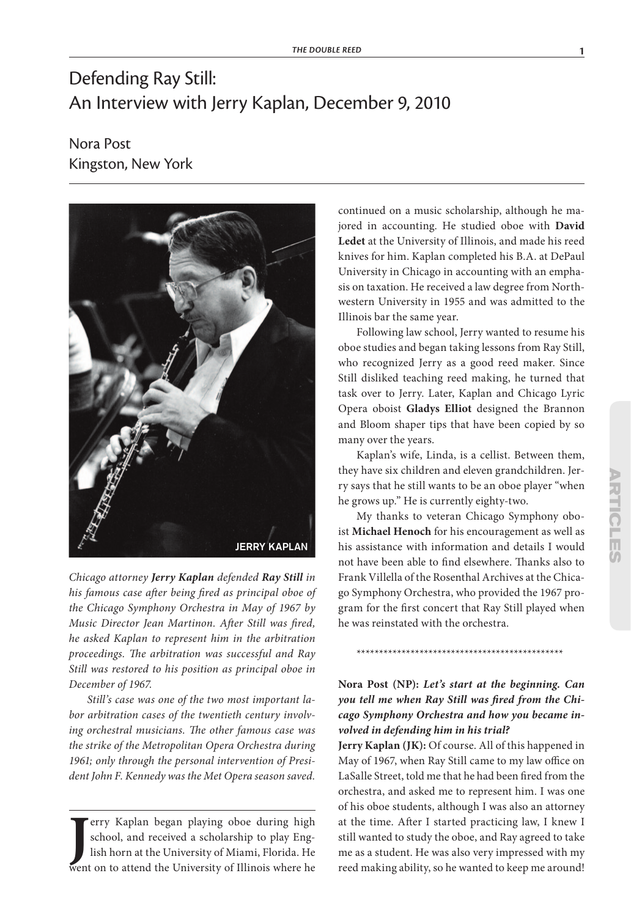# Defending Ray Still: An Interview with Jerry Kaplan, December 9, 2010

Nora Post Kingston, New York



*Chicago attorney Jerry Kaplan defended Ray Still in his famous case after being fired as principal oboe of the Chicago Symphony Orchestra in May of 1967 by Music Director Jean Martinon. After Still was fired, he asked Kaplan to represent him in the arbitration proceedings. The arbitration was successful and Ray Still was restored to his position as principal oboe in December of 1967.*

*Still's case was one of the two most important labor arbitration cases of the twentieth century involving orchestral musicians. The other famous case was the strike of the Metropolitan Opera Orchestra during 1961; only through the personal intervention of President John F. Kennedy was the Met Opera season saved.*

**J** erry Kaplan began playing oboe during high school, and received a scholarship to play English horn at the University of Miami, Florida. He went on to attend the University of Illinois where he erry Kaplan began playing oboe during high school, and received a scholarship to play English horn at the University of Miami, Florida. He continued on a music scholarship, although he majored in accounting. He studied oboe with **David Ledet** at the University of Illinois, and made his reed knives for him. Kaplan completed his B.A. at DePaul University in Chicago in accounting with an emphasis on taxation. He received a law degree from Northwestern University in 1955 and was admitted to the Illinois bar the same year.

Following law school, Jerry wanted to resume his oboe studies and began taking lessons from Ray Still, who recognized Jerry as a good reed maker. Since Still disliked teaching reed making, he turned that task over to Jerry. Later, Kaplan and Chicago Lyric Opera oboist **Gladys Elliot** designed the Brannon and Bloom shaper tips that have been copied by so many over the years.

Kaplan's wife, Linda, is a cellist. Between them, they have six children and eleven grandchildren. Jerry says that he still wants to be an oboe player "when he grows up." He is currently eighty-two.

My thanks to veteran Chicago Symphony oboist **Michael Henoch** for his encouragement as well as his assistance with information and details I would not have been able to find elsewhere. Thanks also to Frank Villella of the Rosenthal Archives at the Chicago Symphony Orchestra, who provided the 1967 program for the first concert that Ray Still played when he was reinstated with the orchestra.

# **Nora Post (NP):** *Let's start at the beginning. Can you tell me when Ray Still was fired from the Chicago Symphony Orchestra and how you became involved in defending him in his trial?*

\*\*\*\*\*\*\*\*\*\*\*\*\*\*\*\*\*\*\*\*\*\*\*\*\*\*\*\*\*\*\*\*\*\*\*\*\*\*\*\*\*\*\*\*\*\*

**Jerry Kaplan (JK):** Of course. All of this happened in May of 1967, when Ray Still came to my law office on LaSalle Street, told me that he had been fired from the orchestra, and asked me to represent him. I was one of his oboe students, although I was also an attorney at the time. After I started practicing law, I knew I still wanted to study the oboe, and Ray agreed to take me as a student. He was also very impressed with my reed making ability, so he wanted to keep me around!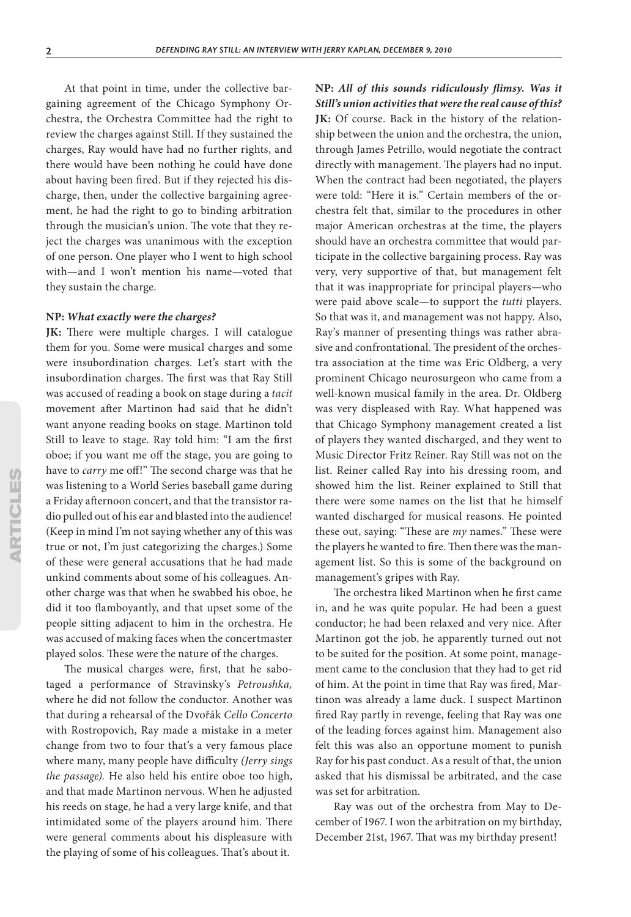At that point in time, under the collective bargaining agreement of the Chicago Symphony Orchestra, the Orchestra Committee had the right to review the charges against Still. If they sustained the charges, Ray would have had no further rights, and there would have been nothing he could have done about having been fired. But if they rejected his discharge, then, under the collective bargaining agreement, he had the right to go to binding arbitration through the musician's union. The vote that they reject the charges was unanimous with the exception of one person. One player who I went to high school with—and I won't mention his name—voted that they sustain the charge.

#### **NP:** *What exactly were the charges?*

**JK:** There were multiple charges. I will catalogue them for you. Some were musical charges and some were insubordination charges. Let's start with the insubordination charges. The first was that Ray Still was accused of reading a book on stage during a *tacit* movement after Martinon had said that he didn't want anyone reading books on stage. Martinon told Still to leave to stage. Ray told him: "I am the first oboe; if you want me off the stage, you are going to have to *carry* me off!" The second charge was that he was listening to a World Series baseball game during a Friday afternoon concert, and that the transistor radio pulled out of his ear and blasted into the audience! (Keep in mind I'm not saying whether any of this was true or not, I'm just categorizing the charges.) Some of these were general accusations that he had made unkind comments about some of his colleagues. Another charge was that when he swabbed his oboe, he did it too flamboyantly, and that upset some of the people sitting adjacent to him in the orchestra. He was accused of making faces when the concertmaster played solos. These were the nature of the charges.

The musical charges were, first, that he sabotaged a performance of Stravinsky's *Petroushka,* where he did not follow the conductor. Another was that during a rehearsal of the Dvořák *Cello Concerto* with Rostropovich, Ray made a mistake in a meter change from two to four that's a very famous place where many, many people have difficulty *(Jerry sings the passage).* He also held his entire oboe too high, and that made Martinon nervous. When he adjusted his reeds on stage, he had a very large knife, and that intimidated some of the players around him. There were general comments about his displeasure with the playing of some of his colleagues. That's about it.

**NP:** *All of this sounds ridiculously flimsy. Was it Still's union activities that were the real cause of this?* **JK:** Of course. Back in the history of the relationship between the union and the orchestra, the union, through James Petrillo, would negotiate the contract directly with management. The players had no input. When the contract had been negotiated, the players were told: "Here it is." Certain members of the orchestra felt that, similar to the procedures in other major American orchestras at the time, the players should have an orchestra committee that would participate in the collective bargaining process. Ray was very, very supportive of that, but management felt that it was inappropriate for principal players—who were paid above scale—to support the *tutti* players. So that was it, and management was not happy. Also, Ray's manner of presenting things was rather abrasive and confrontational. The president of the orchestra association at the time was Eric Oldberg, a very prominent Chicago neurosurgeon who came from a well-known musical family in the area. Dr. Oldberg was very displeased with Ray. What happened was that Chicago Symphony management created a list of players they wanted discharged, and they went to Music Director Fritz Reiner. Ray Still was not on the list. Reiner called Ray into his dressing room, and showed him the list. Reiner explained to Still that there were some names on the list that he himself wanted discharged for musical reasons. He pointed these out, saying: "These are *my* names." These were the players he wanted to fire. Then there was the management list. So this is some of the background on management's gripes with Ray.

The orchestra liked Martinon when he first came in, and he was quite popular. He had been a guest conductor; he had been relaxed and very nice. After Martinon got the job, he apparently turned out not to be suited for the position. At some point, management came to the conclusion that they had to get rid of him. At the point in time that Ray was fired, Martinon was already a lame duck. I suspect Martinon fired Ray partly in revenge, feeling that Ray was one of the leading forces against him. Management also felt this was also an opportune moment to punish Ray for his past conduct. As a result of that, the union asked that his dismissal be arbitrated, and the case was set for arbitration.

Ray was out of the orchestra from May to December of 1967. I won the arbitration on my birthday, December 21st, 1967. That was my birthday present!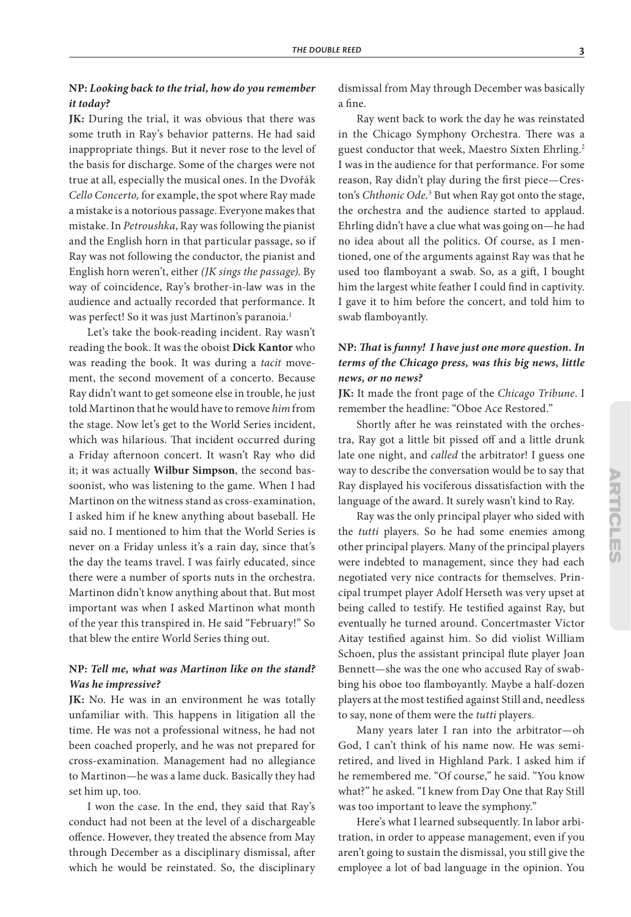### **NP:** *Looking back to the trial, how do you remember it today?*

**JK:** During the trial, it was obvious that there was some truth in Ray's behavior patterns. He had said inappropriate things. But it never rose to the level of the basis for discharge. Some of the charges were not true at all, especially the musical ones. In the Dvořák *Cello Concerto,* for example, the spot where Ray made a mistake is a notorious passage. Everyone makes that mistake. In *Petroushka*, Ray was following the pianist and the English horn in that particular passage, so if Ray was not following the conductor, the pianist and English horn weren't, either *(JK sings the passage)*. By way of coincidence, Ray's brother-in-law was in the audience and actually recorded that performance. It was perfect! So it was just Martinon's paranoia.<sup>1</sup>

Let's take the book-reading incident. Ray wasn't reading the book. It was the oboist **Dick Kantor** who was reading the book. It was during a *tacit* movement, the second movement of a concerto. Because Ray didn't want to get someone else in trouble, he just told Martinon that he would have to remove *him* from the stage. Now let's get to the World Series incident, which was hilarious. That incident occurred during a Friday afternoon concert. It wasn't Ray who did it; it was actually **Wilbur Simpson**, the second bassoonist, who was listening to the game. When I had Martinon on the witness stand as cross-examination, I asked him if he knew anything about baseball. He said no. I mentioned to him that the World Series is never on a Friday unless it's a rain day, since that's the day the teams travel. I was fairly educated, since there were a number of sports nuts in the orchestra. Martinon didn't know anything about that. But most important was when I asked Martinon what month of the year this transpired in. He said "February!" So that blew the entire World Series thing out.

#### **NP:** *Tell me, what was Martinon like on the stand? Was he impressive?*

**JK:** No. He was in an environment he was totally unfamiliar with. This happens in litigation all the time. He was not a professional witness, he had not been coached properly, and he was not prepared for cross-examination. Management had no allegiance to Martinon—he was a lame duck. Basically they had set him up, too.

I won the case. In the end, they said that Ray's conduct had not been at the level of a dischargeable offence. However, they treated the absence from May through December as a disciplinary dismissal, after which he would be reinstated. So, the disciplinary dismissal from May through December was basically a fine.

Ray went back to work the day he was reinstated in the Chicago Symphony Orchestra. There was a guest conductor that week, Maestro Sixten Ehrling.2 I was in the audience for that performance. For some reason, Ray didn't play during the first piece—Creston's *Chthonic Ode*.<sup>3</sup> But when Ray got onto the stage, the orchestra and the audience started to applaud. Ehrling didn't have a clue what was going on—he had no idea about all the politics. Of course, as I mentioned, one of the arguments against Ray was that he used too flamboyant a swab. So, as a gift, I bought him the largest white feather I could find in captivity. I gave it to him before the concert, and told him to swab flamboyantly.

### **NP:** *That* **is** *funny! I have just one more question. In terms of the Chicago press, was this big news, little news, or no news?*

**JK:** It made the front page of the *Chicago Tribune*. I remember the headline: "Oboe Ace Restored."

Shortly after he was reinstated with the orchestra, Ray got a little bit pissed off and a little drunk late one night, and *called* the arbitrator! I guess one way to describe the conversation would be to say that Ray displayed his vociferous dissatisfaction with the language of the award. It surely wasn't kind to Ray.

Ray was the only principal player who sided with the *tutti* players. So he had some enemies among other principal players. Many of the principal players were indebted to management, since they had each negotiated very nice contracts for themselves. Principal trumpet player Adolf Herseth was very upset at being called to testify. He testified against Ray, but eventually he turned around. Concertmaster Victor Aitay testified against him. So did violist William Schoen, plus the assistant principal flute player Joan Bennett—she was the one who accused Ray of swabbing his oboe too flamboyantly. Maybe a half-dozen players at the most testified against Still and, needless to say, none of them were the *tutti* players.

Many years later I ran into the arbitrator—oh God, I can't think of his name now. He was semiretired, and lived in Highland Park. I asked him if he remembered me. "Of course," he said. "You know what?" he asked. "I knew from Day One that Ray Still was too important to leave the symphony."

Here's what I learned subsequently. In labor arbitration, in order to appease management, even if you aren't going to sustain the dismissal, you still give the employee a lot of bad language in the opinion. You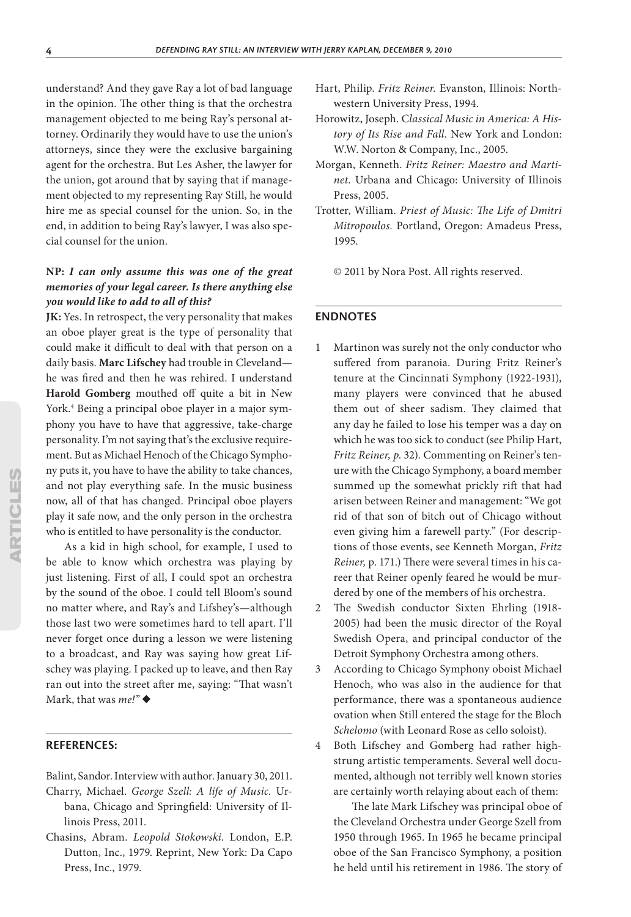understand? And they gave Ray a lot of bad language in the opinion. The other thing is that the orchestra management objected to me being Ray's personal attorney. Ordinarily they would have to use the union's attorneys, since they were the exclusive bargaining agent for the orchestra. But Les Asher, the lawyer for the union, got around that by saying that if management objected to my representing Ray Still, he would hire me as special counsel for the union. So, in the end, in addition to being Ray's lawyer, I was also special counsel for the union.

## **NP:** *I can only assume this was one of the great memories of your legal career. Is there anything else you would like to add to all of this?*

**JK:** Yes. In retrospect, the very personality that makes an oboe player great is the type of personality that could make it difficult to deal with that person on a daily basis. **Marc Lifschey** had trouble in Cleveland he was fired and then he was rehired. I understand **Harold Gomberg** mouthed off quite a bit in New York.4 Being a principal oboe player in a major symphony you have to have that aggressive, take-charge personality. I'm not saying that's the exclusive requirement. But as Michael Henoch of the Chicago Symphony puts it, you have to have the ability to take chances, and not play everything safe. In the music business now, all of that has changed. Principal oboe players play it safe now, and the only person in the orchestra who is entitled to have personality is the conductor.

As a kid in high school, for example, I used to be able to know which orchestra was playing by just listening. First of all, I could spot an orchestra by the sound of the oboe. I could tell Bloom's sound no matter where, and Ray's and Lifshey's—although those last two were sometimes hard to tell apart. I'll never forget once during a lesson we were listening to a broadcast, and Ray was saying how great Lifschey was playing. I packed up to leave, and then Ray ran out into the street after me, saying: "That wasn't Mark, that was *me!"* ◆

#### **REFERENCES:**

Balint, Sandor. Interview with author. January 30, 2011.

- Charry, Michael. *George Szell: A life of Music.* Urbana, Chicago and Springfield: University of Illinois Press, 2011.
- Chasins, Abram. *Leopold Stokowski*. London, E.P. Dutton, Inc., 1979. Reprint, New York: Da Capo Press, Inc., 1979.
- Hart, Philip. *Fritz Reiner.* Evanston, Illinois: Northwestern University Press, 1994.
- Horowitz, Joseph. C*lassical Music in America: A History of Its Rise and Fall.* New York and London: W.W. Norton & Company, Inc., 2005.
- Morgan, Kenneth. *Fritz Reiner: Maestro and Martinet.* Urbana and Chicago: University of Illinois Press, 2005.
- Trotter, William. *Priest of Music: The Life of Dmitri Mitropoulos.* Portland, Oregon: Amadeus Press, 1995.
	- © 2011 by Nora Post. All rights reserved.

#### **ENDNOTES**

- 1 Martinon was surely not the only conductor who suffered from paranoia. During Fritz Reiner's tenure at the Cincinnati Symphony (1922-1931), many players were convinced that he abused them out of sheer sadism. They claimed that any day he failed to lose his temper was a day on which he was too sick to conduct (see Philip Hart, *Fritz Reiner, p*. 32). Commenting on Reiner's tenure with the Chicago Symphony, a board member summed up the somewhat prickly rift that had arisen between Reiner and management: "We got rid of that son of bitch out of Chicago without even giving him a farewell party." (For descriptions of those events, see Kenneth Morgan, *Fritz Reiner,* p. 171.) There were several times in his career that Reiner openly feared he would be murdered by one of the members of his orchestra.
- 2 The Swedish conductor Sixten Ehrling (1918- 2005) had been the music director of the Royal Swedish Opera, and principal conductor of the Detroit Symphony Orchestra among others.
- 3 According to Chicago Symphony oboist Michael Henoch, who was also in the audience for that performance, there was a spontaneous audience ovation when Still entered the stage for the Bloch *Schelomo* (with Leonard Rose as cello soloist).
- 4 Both Lifschey and Gomberg had rather highstrung artistic temperaments. Several well documented, although not terribly well known stories are certainly worth relaying about each of them:

The late Mark Lifschey was principal oboe of the Cleveland Orchestra under George Szell from 1950 through 1965. In 1965 he became principal oboe of the San Francisco Symphony, a position he held until his retirement in 1986. The story of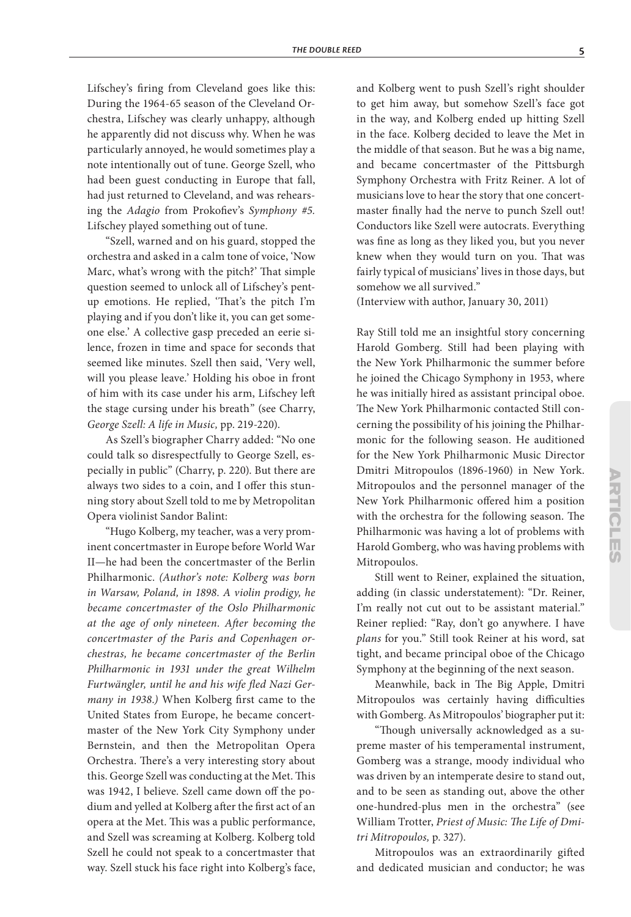Lifschey's firing from Cleveland goes like this: During the 1964-65 season of the Cleveland Orchestra, Lifschey was clearly unhappy, although he apparently did not discuss why. When he was particularly annoyed, he would sometimes play a note intentionally out of tune. George Szell, who had been guest conducting in Europe that fall, had just returned to Cleveland, and was rehearsing the *Adagio* from Prokofiev's *Symphony #5.* Lifschey played something out of tune.

"Szell, warned and on his guard, stopped the orchestra and asked in a calm tone of voice, 'Now Marc, what's wrong with the pitch?' That simple question seemed to unlock all of Lifschey's pentup emotions. He replied, 'That's the pitch I'm playing and if you don't like it, you can get someone else.' A collective gasp preceded an eerie silence, frozen in time and space for seconds that seemed like minutes. Szell then said, 'Very well, will you please leave.' Holding his oboe in front of him with its case under his arm, Lifschey left the stage cursing under his breath" (see Charry, *George Szell: A life in Music,* pp. 219-220).

As Szell's biographer Charry added: "No one could talk so disrespectfully to George Szell, especially in public" (Charry, p. 220). But there are always two sides to a coin, and I offer this stunning story about Szell told to me by Metropolitan Opera violinist Sandor Balint:

"Hugo Kolberg, my teacher, was a very prominent concertmaster in Europe before World War II—he had been the concertmaster of the Berlin Philharmonic. *(Author's note: Kolberg was born in Warsaw, Poland, in 1898. A violin prodigy, he became concertmaster of the Oslo Philharmonic at the age of only nineteen. After becoming the concertmaster of the Paris and Copenhagen orchestras, he became concertmaster of the Berlin Philharmonic in 1931 under the great Wilhelm Furtwängler, until he and his wife fled Nazi Germany in 1938.)* When Kolberg first came to the United States from Europe, he became concertmaster of the New York City Symphony under Bernstein, and then the Metropolitan Opera Orchestra. There's a very interesting story about this. George Szell was conducting at the Met. This was 1942, I believe. Szell came down off the podium and yelled at Kolberg after the first act of an opera at the Met. This was a public performance, and Szell was screaming at Kolberg. Kolberg told Szell he could not speak to a concertmaster that way. Szell stuck his face right into Kolberg's face,

and Kolberg went to push Szell's right shoulder to get him away, but somehow Szell's face got in the way, and Kolberg ended up hitting Szell in the face. Kolberg decided to leave the Met in the middle of that season. But he was a big name, and became concertmaster of the Pittsburgh Symphony Orchestra with Fritz Reiner. A lot of musicians love to hear the story that one concertmaster finally had the nerve to punch Szell out! Conductors like Szell were autocrats. Everything was fine as long as they liked you, but you never knew when they would turn on you. That was fairly typical of musicians' lives in those days, but somehow we all survived."

(Interview with author, January 30, 2011)

Ray Still told me an insightful story concerning Harold Gomberg. Still had been playing with the New York Philharmonic the summer before he joined the Chicago Symphony in 1953, where he was initially hired as assistant principal oboe. The New York Philharmonic contacted Still concerning the possibility of his joining the Philharmonic for the following season. He auditioned for the New York Philharmonic Music Director Dmitri Mitropoulos (1896-1960) in New York. Mitropoulos and the personnel manager of the New York Philharmonic offered him a position with the orchestra for the following season. The Philharmonic was having a lot of problems with Harold Gomberg, who was having problems with Mitropoulos.

Still went to Reiner, explained the situation, adding (in classic understatement): "Dr. Reiner, I'm really not cut out to be assistant material." Reiner replied: "Ray, don't go anywhere. I have *plans* for you." Still took Reiner at his word, sat tight, and became principal oboe of the Chicago Symphony at the beginning of the next season.

Meanwhile, back in The Big Apple, Dmitri Mitropoulos was certainly having difficulties with Gomberg. As Mitropoulos' biographer put it:

"Though universally acknowledged as a supreme master of his temperamental instrument, Gomberg was a strange, moody individual who was driven by an intemperate desire to stand out, and to be seen as standing out, above the other one-hundred-plus men in the orchestra" (see William Trotter, *Priest of Music: The Life of Dmitri Mitropoulos,* p. 327).

Mitropoulos was an extraordinarily gifted and dedicated musician and conductor; he was